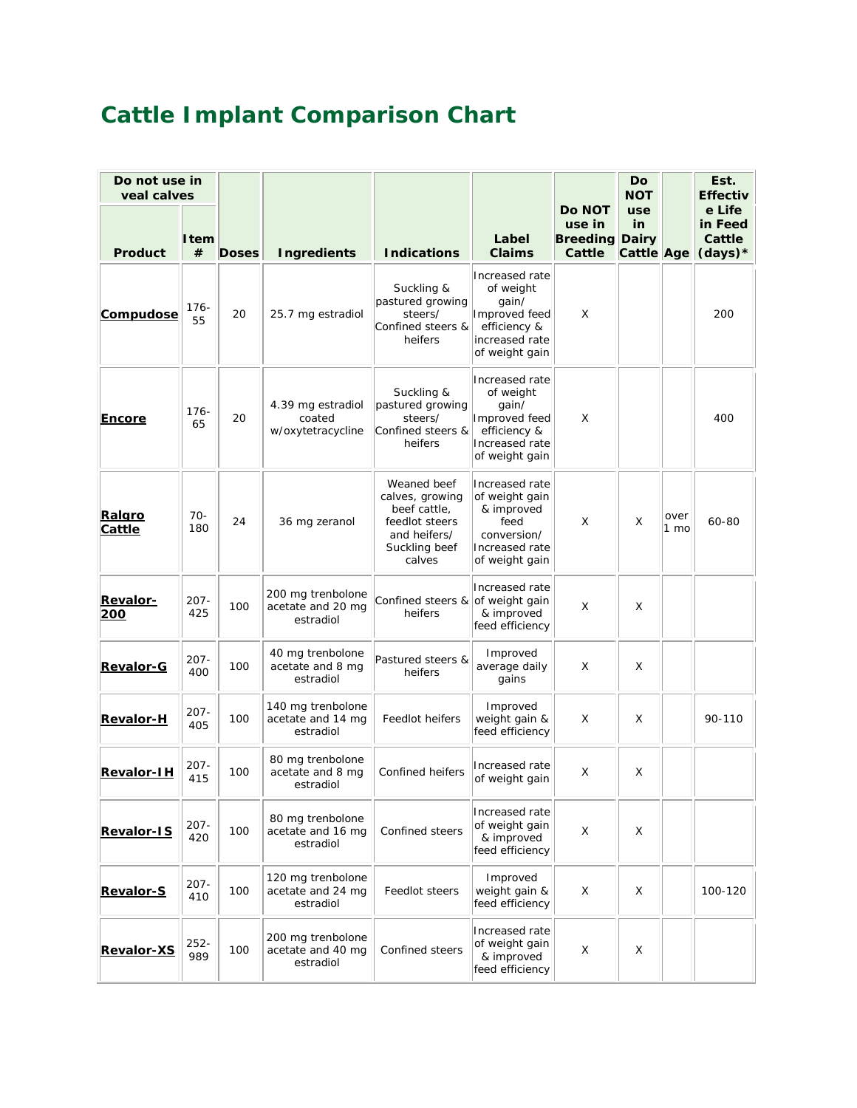## **Cattle Implant Comparison Chart**

| Do not use in<br>veal calves |                  |              |                                                     |                                                                                                             |                                                                                                           |                                                            | Do<br><b>NOT</b>               |              | Est.<br><b>Effectiv</b>                  |
|------------------------------|------------------|--------------|-----------------------------------------------------|-------------------------------------------------------------------------------------------------------------|-----------------------------------------------------------------------------------------------------------|------------------------------------------------------------|--------------------------------|--------------|------------------------------------------|
| <b>Product</b>               | <b>Item</b><br># | <b>Doses</b> | <b>Ingredients</b>                                  | <b>Indications</b>                                                                                          | Label<br>Claims                                                                                           | <b>Do NOT</b><br>use in<br><b>Breeding Dairy</b><br>Cattle | use<br>in<br><b>Cattle Age</b> |              | e Life<br>in Feed<br>Cattle<br>$(days)*$ |
| Compudose                    | $176 -$<br>55    | 20           | 25.7 mg estradiol                                   | Suckling &<br>pastured growing<br>steers/<br>Confined steers &<br>heifers                                   | Increased rate<br>of weight<br>qain/<br>Improved feed<br>efficiency &<br>increased rate<br>of weight gain | X                                                          |                                |              | 200                                      |
| Encore                       | $176 -$<br>65    | 20           | 4.39 mg estradiol<br>coated<br>w/oxytetracycline    | Suckling &<br>pastured growing<br>steers/<br>Confined steers &<br>heifers                                   | Increased rate<br>of weight<br>qain/<br>Improved feed<br>efficiency &<br>Increased rate<br>of weight gain | X                                                          |                                |              | 400                                      |
| Ralgro<br><b>Cattle</b>      | $70-$<br>180     | 24           | 36 mg zeranol                                       | Weaned beef<br>calves, growing<br>beef cattle,<br>feedlot steers<br>and heifers/<br>Suckling beef<br>calves | Increased rate<br>of weight gain<br>& improved<br>feed<br>conversion/<br>Increased rate<br>of weight gain | X                                                          | X                              | over<br>1 mo | 60-80                                    |
| <b>Revalor-</b><br>200       | $207 -$<br>425   | 100          | 200 mg trenbolone<br>acetate and 20 mg<br>estradiol | Confined steers & of weight gain<br>heifers                                                                 | Increased rate<br>& improved<br>feed efficiency                                                           | X                                                          | X                              |              |                                          |
| <b>Revalor-G</b>             | $207 -$<br>400   | 100          | 40 mg trenbolone<br>acetate and 8 mg<br>estradiol   | Pastured steers &<br>heifers                                                                                | Improved<br>average daily<br>gains                                                                        | X                                                          | X                              |              |                                          |
| <b>Revalor-H</b>             | $207 -$<br>405   | 100          | 140 mg trenbolone<br>acetate and 14 mg<br>estradiol | Feedlot heifers                                                                                             | Improved<br>weight gain &<br>feed efficiency                                                              | X                                                          | X                              |              | 90-110                                   |
| <b>Revalor-IH</b>            | 207-<br>415      | 100          | 80 mg trenbolone<br>acetate and 8 mg<br>estradiol   | <b>Confined heifers</b>                                                                                     | Increased rate<br>of weight gain                                                                          | X                                                          | X                              |              |                                          |
| <b>Revalor-1S</b>            | $207 -$<br>420   | 100          | 80 mg trenbolone<br>acetate and 16 mg<br>estradiol  | Confined steers                                                                                             | Increased rate<br>of weight gain<br>& improved<br>feed efficiency                                         | X                                                          | X                              |              |                                          |
| <b>Revalor-S</b>             | $207 -$<br>410   | 100          | 120 mg trenbolone<br>acetate and 24 mg<br>estradiol | Feedlot steers                                                                                              | Improved<br>weight gain &<br>feed efficiency                                                              | Χ                                                          | Χ                              |              | 100-120                                  |
| <b>Revalor-XS</b>            | $252 -$<br>989   | 100          | 200 mg trenbolone<br>acetate and 40 mg<br>estradiol | Confined steers                                                                                             | Increased rate<br>of weight gain<br>& improved<br>feed efficiency                                         | Χ                                                          | X                              |              |                                          |